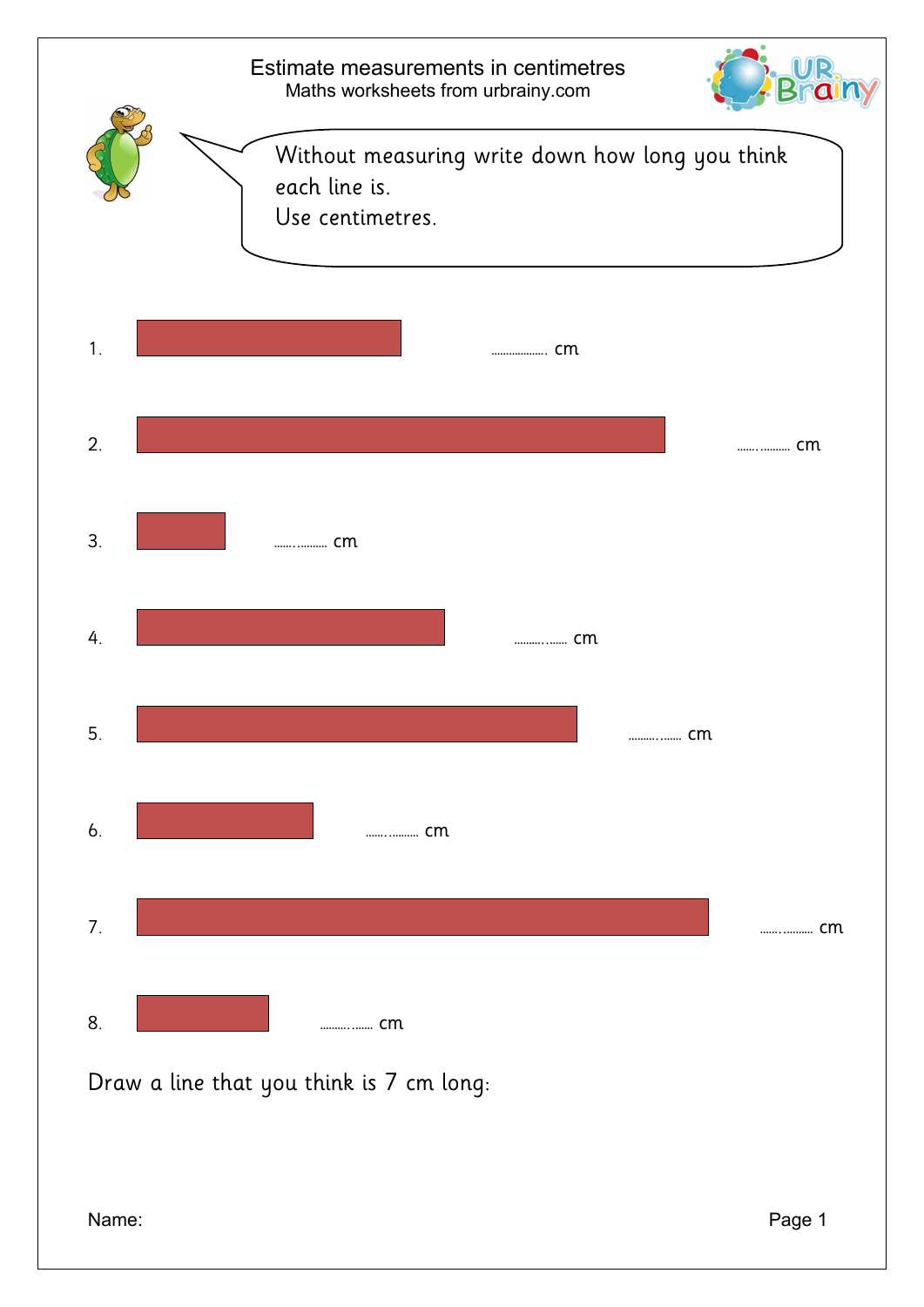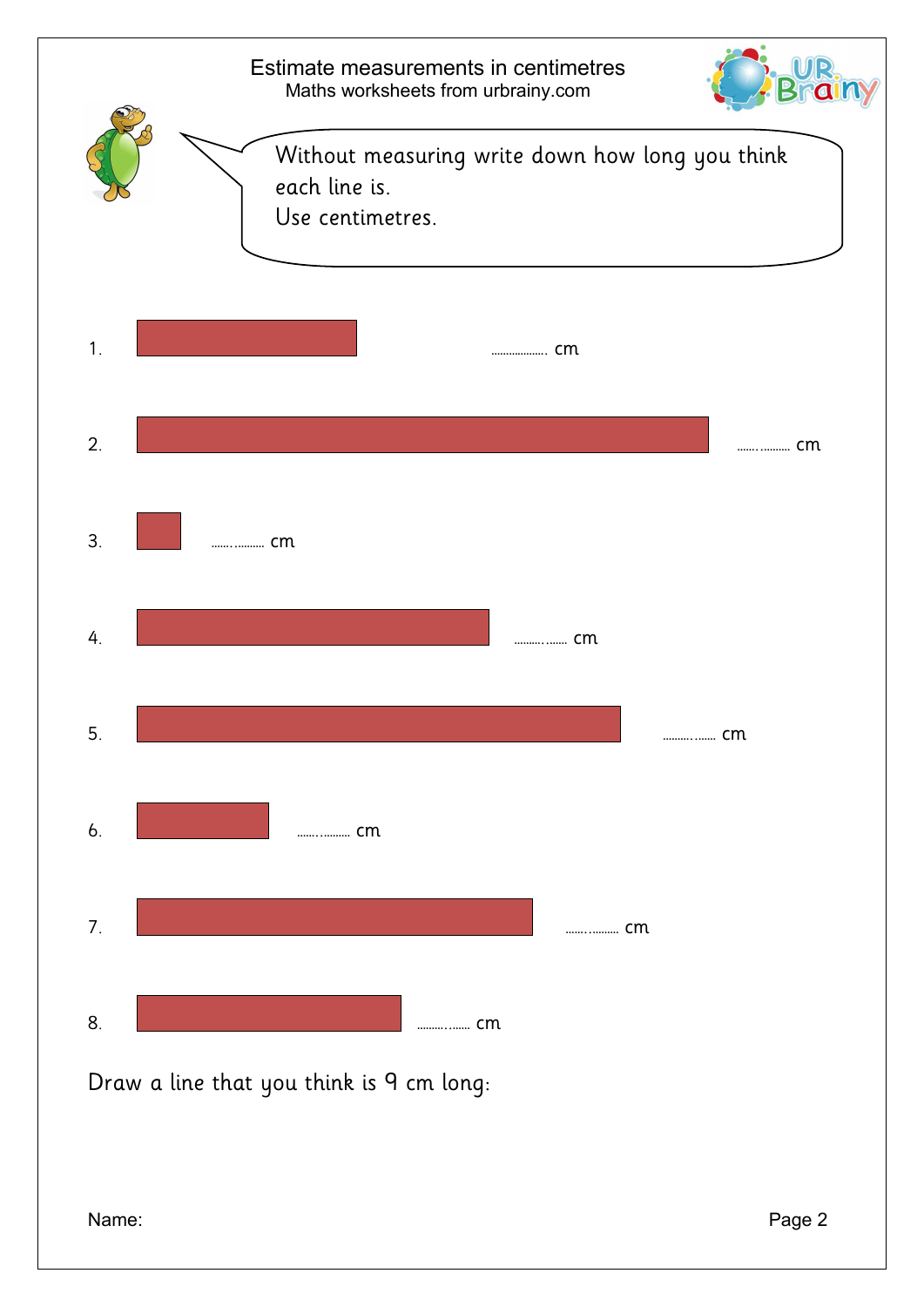

Draw a line that you think is 9 cm long: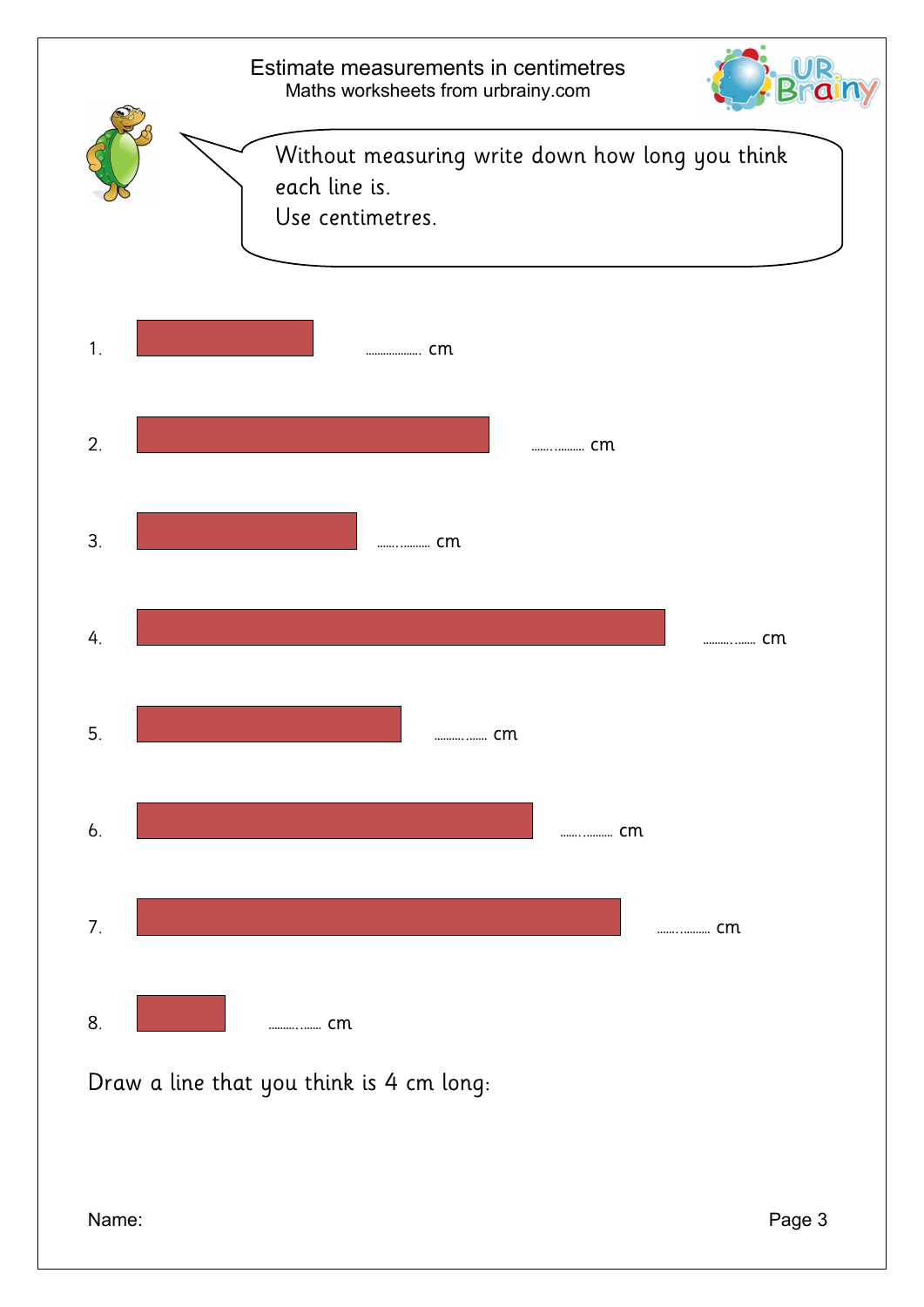

Draw a line that you think is 4 cm long: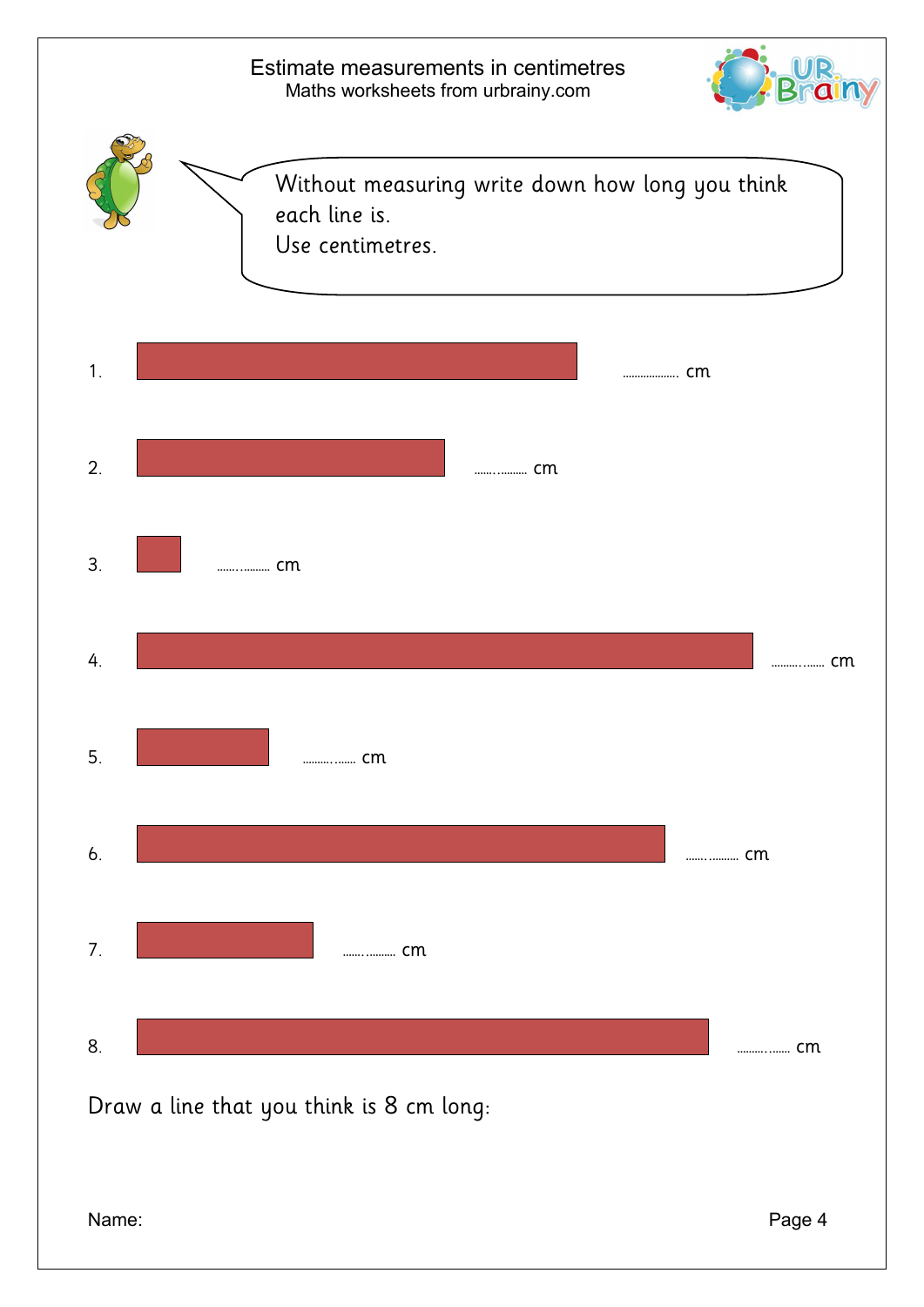